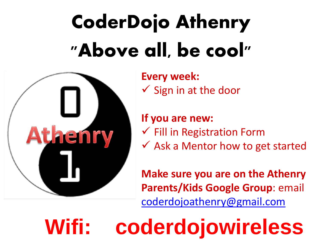## **CoderDojo Athenry "Above all, be cool"**



**Every week:**   $\checkmark$  Sign in at the door

**If you are new:** ✓ Fill in Registration Form  $\checkmark$  Ask a Mentor how to get started

**Make sure you are on the Athenry Parents/Kids Google Group**: email [coderdojoathenry@gmail.com](mailto:coderdojoathenry@gmail.com)

**Wifi: coderdojowireless**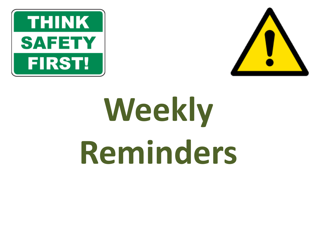



# **Weekly Reminders**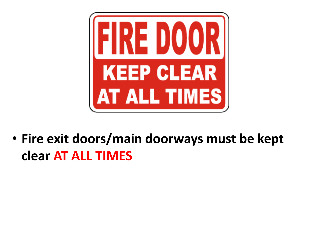

• **Fire exit doors/main doorways must be kept clear AT ALL TIMES**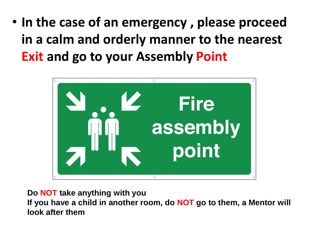• **In the case of an emergency , please proceed in a calm and orderly manner to the nearest Exit and go to your Assembly Point** 



**Do NOT take anything with you**

**If you have a child in another room, do NOT go to them, a Mentor will look after them**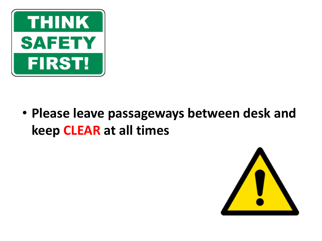

• **Please leave passageways between desk and keep CLEAR at all times**

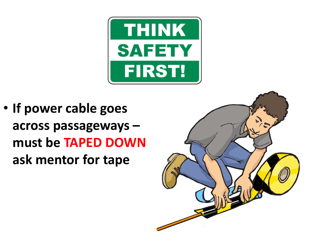

• **If power cable goes across passageways – must be TAPED DOWN ask mentor for tape**

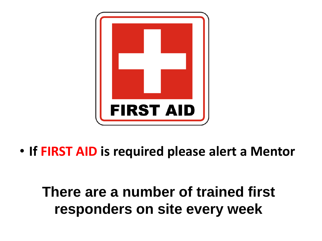

• **If FIRST AID is required please alert a Mentor**

**There are a number of trained first responders on site every week**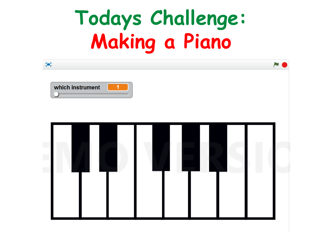#### **Todays Challenge: Making a Piano**

| 鸋                |   |  |  |
|------------------|---|--|--|
| which instrument | 1 |  |  |
|                  |   |  |  |
|                  |   |  |  |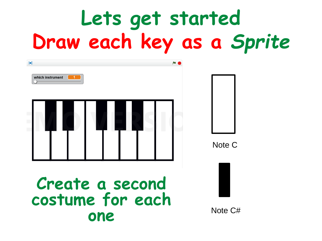### **Lets get started Draw each key as a** *Sprite*

| 99<br>which instrument                     |         |
|--------------------------------------------|---------|
|                                            | Note C  |
| Create a second<br>costume for each<br>one | Note C# |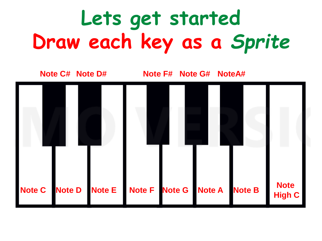### **Lets get started Draw each key as a** *Sprite*

**Note C#**

**Note D# Note F# Note G# NoteA#**

![](_page_9_Figure_3.jpeg)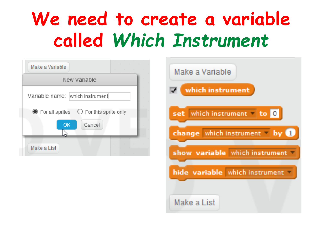#### **We need to create a variable called** *Which Instrument*

| Make a Variable                                                               | the control of the con- |
|-------------------------------------------------------------------------------|-------------------------|
| New Variable                                                                  |                         |
| Variable name: which instrument                                               |                         |
| $\bullet$ For all sprites $\circ$ For this sprite only<br><b>OK</b><br>Cancel |                         |
| Make a List                                                                   |                         |

| Make a Variable                |
|--------------------------------|
| which instrument               |
| which instrument<br>to.<br>set |
| change which instrument by     |
| show variable which instrument |
| hide variable which instrument |
| Make a List                    |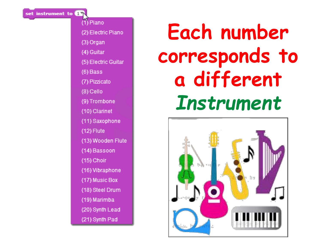set instrument to **ON** 

#### (1) Piano

(2) Electric Piano

(3) Organ

(4) Guitar

(5) Electric Guitar

 $(6)$  Bass

(7) Pizzicato

(8) Cello

(9) Trombone

(10) Clarinet

(11) Saxophone

 $(12)$  Flute

(13) Wooden Flute

(14) Bassoon

(15) Choir

(16) Vibraphone

(17) Music Box

(18) Steel Drum

(19) Marimba

(20) Synth Lead

(21) Synth Pad

#### **Each number corresponds to a different**  *Instrument*

![](_page_11_Picture_23.jpeg)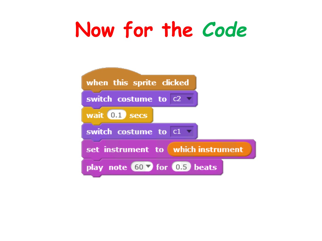#### **Now for the** *Code*

![](_page_12_Figure_1.jpeg)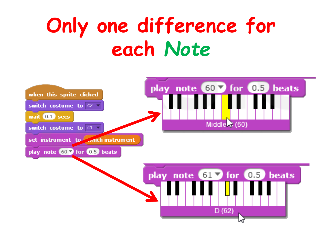#### **Only one difference for each** *Note*

![](_page_13_Figure_1.jpeg)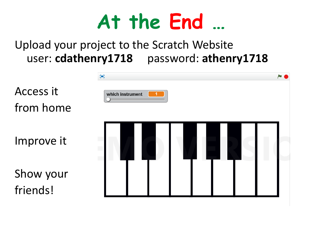![](_page_14_Picture_0.jpeg)

#### Upload your project to the Scratch Website user: **cdathenry1718** password: **athenry1718**

![](_page_14_Figure_2.jpeg)